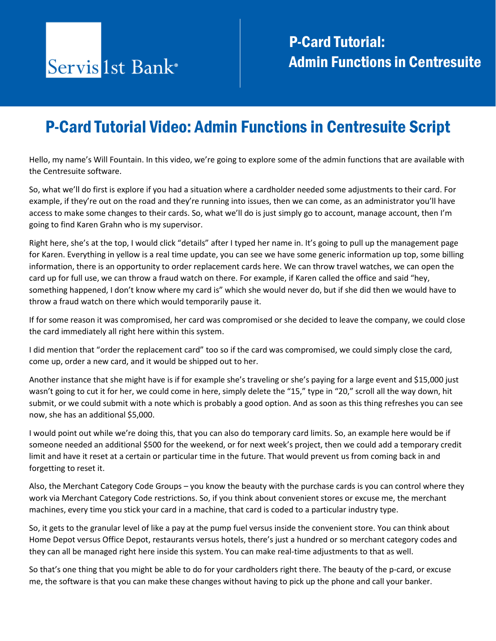## P-Card Tutorial Video: Admin Functions in Centresuite Script

Hello, my name's Will Fountain. In this video, we're going to explore some of the admin functions that are available with the Centresuite software.

So, what we'll do first is explore if you had a situation where a cardholder needed some adjustments to their card. For example, if they're out on the road and they're running into issues, then we can come, as an administrator you'll have access to make some changes to their cards. So, what we'll do is just simply go to account, manage account, then I'm going to find Karen Grahn who is my supervisor.

Right here, she's at the top, I would click "details" after I typed her name in. It's going to pull up the management page for Karen. Everything in yellow is a real time update, you can see we have some generic information up top, some billing information, there is an opportunity to order replacement cards here. We can throw travel watches, we can open the card up for full use, we can throw a fraud watch on there. For example, if Karen called the office and said "hey, something happened, I don't know where my card is" which she would never do, but if she did then we would have to throw a fraud watch on there which would temporarily pause it.

If for some reason it was compromised, her card was compromised or she decided to leave the company, we could close the card immediately all right here within this system.

I did mention that "order the replacement card" too so if the card was compromised, we could simply close the card, come up, order a new card, and it would be shipped out to her.

Another instance that she might have is if for example she's traveling or she's paying for a large event and \$15,000 just wasn't going to cut it for her, we could come in here, simply delete the "15," type in "20," scroll all the way down, hit submit, or we could submit with a note which is probably a good option. And as soon as this thing refreshes you can see now, she has an additional \$5,000.

I would point out while we're doing this, that you can also do temporary card limits. So, an example here would be if someone needed an additional \$500 for the weekend, or for next week's project, then we could add a temporary credit limit and have it reset at a certain or particular time in the future. That would prevent us from coming back in and forgetting to reset it.

Also, the Merchant Category Code Groups – you know the beauty with the purchase cards is you can control where they work via Merchant Category Code restrictions. So, if you think about convenient stores or excuse me, the merchant machines, every time you stick your card in a machine, that card is coded to a particular industry type.

So, it gets to the granular level of like a pay at the pump fuel versus inside the convenient store. You can think about Home Depot versus Office Depot, restaurants versus hotels, there's just a hundred or so merchant category codes and they can all be managed right here inside this system. You can make real-time adjustments to that as well.

So that's one thing that you might be able to do for your cardholders right there. The beauty of the p-card, or excuse me, the software is that you can make these changes without having to pick up the phone and call your banker.